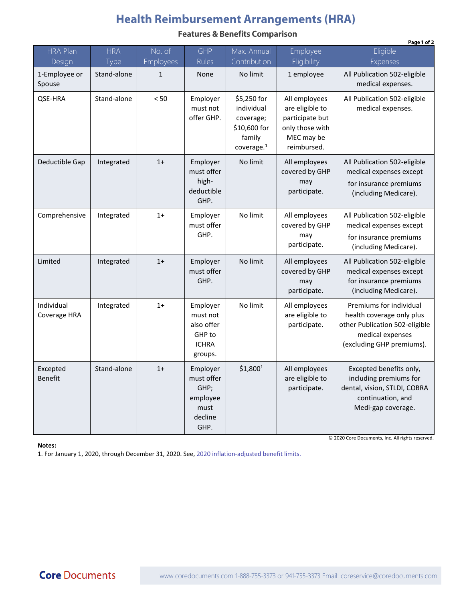## **Health Reimbursement Arrangements (HRA)**

**Features & Benefits Comparison** 

|                            |             |           |                                                                         |                                                                                            |                                                                                                     | Page 1 of 2                                                                                                                                                                      |
|----------------------------|-------------|-----------|-------------------------------------------------------------------------|--------------------------------------------------------------------------------------------|-----------------------------------------------------------------------------------------------------|----------------------------------------------------------------------------------------------------------------------------------------------------------------------------------|
| <b>HRA Plan</b>            | <b>HRA</b>  | No. of    | <b>GHP</b>                                                              | Max. Annual                                                                                | Employee                                                                                            | Eligible                                                                                                                                                                         |
| Design                     | Type        | Employees | Rules                                                                   | Contribution                                                                               | Eligibility                                                                                         | Expenses                                                                                                                                                                         |
| 1-Employee or<br>Spouse    | Stand-alone | 1         | None                                                                    | No limit                                                                                   | 1 employee                                                                                          | All Publication 502-eligible<br>medical expenses.                                                                                                                                |
| QSE-HRA                    | Stand-alone | $< 50$    | Employer<br>must not<br>offer GHP.                                      | \$5,250 for<br>individual<br>coverage;<br>\$10,600 for<br>family<br>coverage. <sup>1</sup> | All employees<br>are eligible to<br>participate but<br>only those with<br>MEC may be<br>reimbursed. | All Publication 502-eligible<br>medical expenses.                                                                                                                                |
| Deductible Gap             | Integrated  | $1+$      | Employer<br>must offer<br>high-<br>deductible<br>GHP.                   | No limit                                                                                   | All employees<br>covered by GHP<br>may<br>participate.                                              | All Publication 502-eligible<br>medical expenses except<br>for insurance premiums<br>(including Medicare).                                                                       |
| Comprehensive              | Integrated  | $1+$      | Employer<br>must offer<br>GHP.                                          | No limit                                                                                   | All employees<br>covered by GHP<br>may<br>participate.                                              | All Publication 502-eligible<br>medical expenses except<br>for insurance premiums<br>(including Medicare).                                                                       |
| Limited                    | Integrated  | $1+$      | Employer<br>must offer<br>GHP.                                          | No limit                                                                                   | All employees<br>covered by GHP<br>may<br>participate.                                              | All Publication 502-eligible<br>medical expenses except<br>for insurance premiums<br>(including Medicare).                                                                       |
| Individual<br>Coverage HRA | Integrated  | $1+$      | Employer<br>must not<br>also offer<br>GHP to<br><b>ICHRA</b><br>groups. | No limit                                                                                   | All employees<br>are eligible to<br>participate.                                                    | Premiums for individual<br>health coverage only plus<br>other Publication 502-eligible<br>medical expenses<br>(excluding GHP premiums).                                          |
| Excepted<br><b>Benefit</b> | Stand-alone | $1+$      | Employer<br>must offer<br>GHP;<br>employee<br>must<br>decline<br>GHP.   | \$1,800 <sup>1</sup>                                                                       | All employees<br>are eligible to<br>participate.                                                    | Excepted benefits only,<br>including premiums for<br>dental, vision, STLDI, COBRA<br>continuation, and<br>Medi-gap coverage.<br>© 2020 Core Documents, Inc. All rights reserved. |

**Notes:** 

1. For January 1, 2020, through December 31, 2020. See, 2020 [inflation-adjusted benefit limits](https://www.coredocuments.com/2020-irs-benefit-limits-for-ichra-ebhra-qsehra-fsa-hsa-more/).